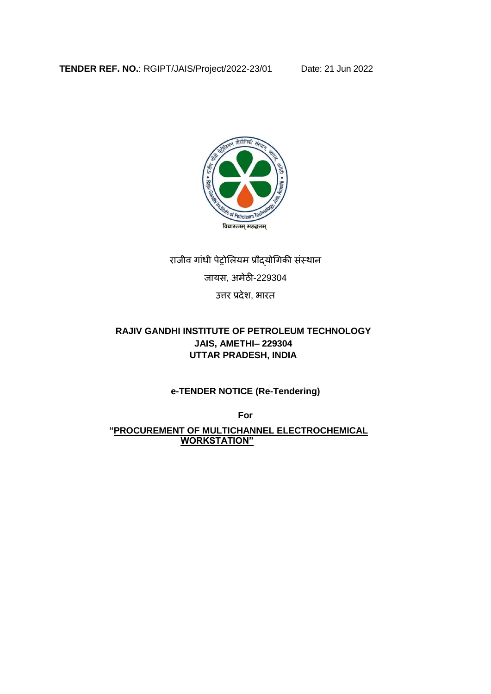

# राजीव गाांधी पेट्रोलियम प्रौद्योगगकी सांस्थान

जायस, अमेठी-229304

उत्तर प्रदेश, भारत

## **RAJIV GANDHI INSTITUTE OF PETROLEUM TECHNOLOGY JAIS, AMETHI– 229304 UTTAR PRADESH, INDIA**

**e-TENDER NOTICE (Re-Tendering)**

**For** 

 **"PROCUREMENT OF MULTICHANNEL ELECTROCHEMICAL WORKSTATION"**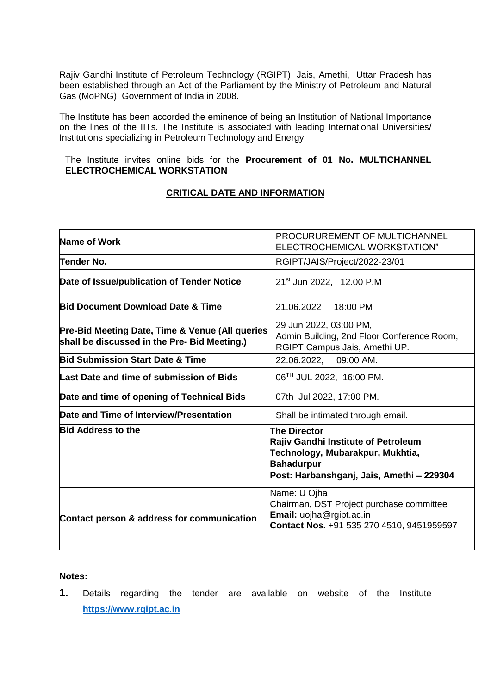Rajiv Gandhi Institute of Petroleum Technology (RGIPT), Jais, Amethi, Uttar Pradesh has been established through an Act of the Parliament by the Ministry of Petroleum and Natural Gas (MoPNG), Government of India in 2008.

The Institute has been accorded the eminence of being an Institution of National Importance on the lines of the IITs. The Institute is associated with leading International Universities/ Institutions specializing in Petroleum Technology and Energy.

The Institute invites online bids for the **Procurement of 01 No. MULTICHANNEL ELECTROCHEMICAL WORKSTATION**

#### **CRITICAL DATE AND INFORMATION**

| Name of Work                                                                                    | PROCURUREMENT OF MULTICHANNEL<br>ELECTROCHEMICAL WORKSTATION"                                                                                                    |
|-------------------------------------------------------------------------------------------------|------------------------------------------------------------------------------------------------------------------------------------------------------------------|
| Tender No.                                                                                      | RGIPT/JAIS/Project/2022-23/01                                                                                                                                    |
| Date of Issue/publication of Tender Notice                                                      | 21 <sup>st</sup> Jun 2022, 12.00 P.M                                                                                                                             |
| <b>Bid Document Download Date &amp; Time</b>                                                    | 21.06.2022<br>18:00 PM                                                                                                                                           |
| Pre-Bid Meeting Date, Time & Venue (All queries<br>shall be discussed in the Pre- Bid Meeting.) | 29 Jun 2022, 03:00 PM,<br>Admin Building, 2nd Floor Conference Room,<br>RGIPT Campus Jais, Amethi UP.                                                            |
| <b>Bid Submission Start Date &amp; Time</b>                                                     | 22.06.2022, 09:00 AM.                                                                                                                                            |
| Last Date and time of submission of Bids                                                        | 06 <sup>TH</sup> JUL 2022, 16:00 PM.                                                                                                                             |
| Date and time of opening of Technical Bids                                                      | 07th Jul 2022, 17:00 PM.                                                                                                                                         |
| Date and Time of Interview/Presentation                                                         | Shall be intimated through email.                                                                                                                                |
| <b>Bid Address to the</b>                                                                       | <b>The Director</b><br>Rajiv Gandhi Institute of Petroleum<br>Technology, Mubarakpur, Mukhtia,<br><b>Bahadurpur</b><br>Post: Harbanshganj, Jais, Amethi - 229304 |
| Contact person & address for communication                                                      | Name: U Ojha<br>Chairman, DST Project purchase committee<br>Email: uojha@rgipt.ac.in<br>Contact Nos. +91 535 270 4510, 9451959597                                |

#### **Notes:**

**1.** Details regarding the tender are available on website of the Institute **[https://www.rgipt.ac.in](https://www.rgipt.ac.in/)**